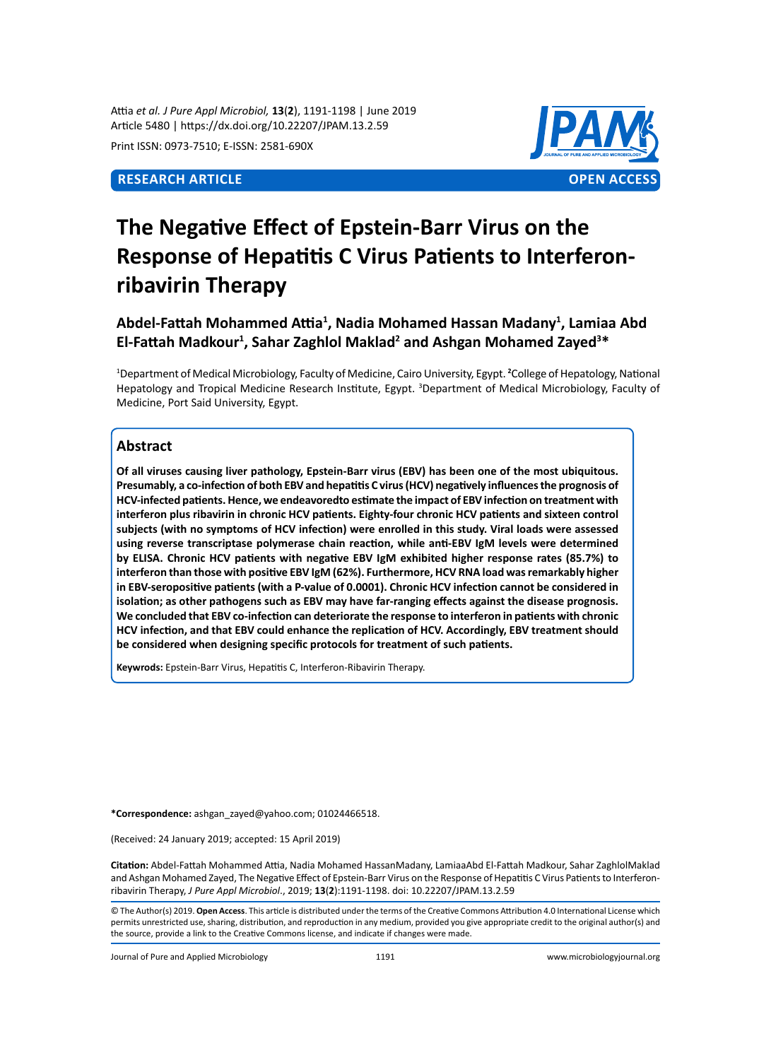Attia *et al. J Pure Appl Microbiol,* **13**(**2**), 1191-1198 | June 2019 Article 5480 | https://dx.doi.org/10.22207/JPAM.13.2.59

Print ISSN: 0973-7510; E-ISSN: 2581-690X



# **The Negative Effect of Epstein-Barr Virus on the Response of Hepatitis C Virus Patients to Interferonribavirin Therapy**

**Abdel-Fattah Mohammed Attia<sup>1</sup> , Nadia Mohamed Hassan Madany<sup>1</sup> , Lamiaa Abd El-Fattah Madkour<sup>1</sup> , Sahar Zaghlol Maklad<sup>2</sup> and Ashgan Mohamed Zayed<sup>3</sup> \***

<sup>1</sup>Department of Medical Microbiology, Faculty of Medicine, Cairo University, Egypt. <sup>2</sup>College of Hepatology, National Hepatology and Tropical Medicine Research Institute, Egypt. <sup>3</sup>Department of Medical Microbiology, Faculty of Medicine, Port Said University, Egypt.

# **Abstract**

**Of all viruses causing liver pathology, Epstein-Barr virus (EBV) has been one of the most ubiquitous. Presumably, a co-infection of both EBV and hepatitis C virus (HCV) negatively influences the prognosis of HCV-infected patients. Hence, we endeavoredto estimate the impact of EBV infection on treatment with interferon plus ribavirin in chronic HCV patients. Eighty-four chronic HCV patients and sixteen control subjects (with no symptoms of HCV infection) were enrolled in this study. Viral loads were assessed using reverse transcriptase polymerase chain reaction, while anti-EBV IgM levels were determined by ELISA. Chronic HCV patients with negative EBV IgM exhibited higher response rates (85.7%) to interferon than those with positive EBV IgM (62%). Furthermore, HCV RNA load was remarkably higher in EBV-seropositive patients (with a P-value of 0.0001). Chronic HCV infection cannot be considered in isolation; as other pathogens such as EBV may have far-ranging effects against the disease prognosis. We concluded that EBV co-infection can deteriorate the response to interferon in patients with chronic HCV infection, and that EBV could enhance the replication of HCV. Accordingly, EBV treatment should be considered when designing specific protocols for treatment of such patients.**

**Keywrods:** Epstein-Barr Virus, Hepatitis C, Interferon-Ribavirin Therapy.

**\*Correspondence:** ashgan\_zayed@yahoo.com; 01024466518.

(Received: 24 January 2019; accepted: 15 April 2019)

**Citation:** Abdel-Fattah Mohammed Attia, Nadia Mohamed HassanMadany, LamiaaAbd El-Fattah Madkour, Sahar ZaghlolMaklad and Ashgan Mohamed Zayed, The Negative Effect of Epstein-Barr Virus on the Response of Hepatitis C Virus Patients to Interferonribavirin Therapy, *J Pure Appl Microbiol*., 2019; **13**(**2**):1191-1198. doi: 10.22207/JPAM.13.2.59

© The Author(s) 2019. **Open Access**. This article is distributed under the terms of the Creative Commons Attribution 4.0 International License which permits unrestricted use, sharing, distribution, and reproduction in any medium, provided you give appropriate credit to the original author(s) and the source, provide a link to the Creative Commons license, and indicate if changes were made.

Journal of Pure and Applied Microbiology 1191 www.microbiologyjournal.org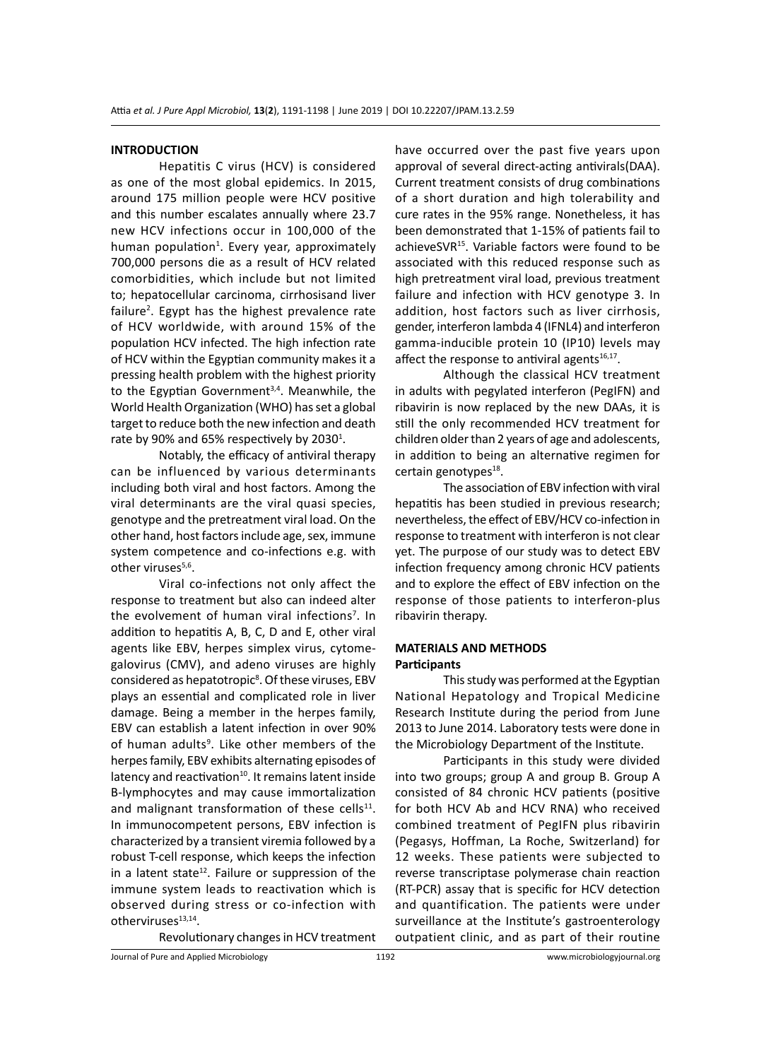#### **INTRODUCTION**

Hepatitis C virus (HCV) is considered as one of the most global epidemics. In 2015, around 175 million people were HCV positive and this number escalates annually where 23.7 new HCV infections occur in 100,000 of the human population<sup>1</sup>. Every year, approximately 700,000 persons die as a result of HCV related comorbidities, which include but not limited to; hepatocellular carcinoma, cirrhosisand liver failure<sup>2</sup>. Egypt has the highest prevalence rate of HCV worldwide, with around 15% of the population HCV infected. The high infection rate of HCV within the Egyptian community makes it a pressing health problem with the highest priority to the Egyptian Government<sup>3,4</sup>. Meanwhile, the World Health Organization (WHO) has set a global target to reduce both the new infection and death rate by 90% and 65% respectively by 2030 $^1$ .

Notably, the efficacy of antiviral therapy can be influenced by various determinants including both viral and host factors. Among the viral determinants are the viral quasi species, genotype and the pretreatment viral load. On the other hand, host factors include age, sex, immune system competence and co-infections e.g. with other viruses<sup>5,6</sup>.

Viral co-infections not only affect the response to treatment but also can indeed alter the evolvement of human viral infections<sup>7</sup>. In addition to hepatitis A, B, C, D and E, other viral agents like EBV, herpes simplex virus, cytomegalovirus (CMV), and adeno viruses are highly considered as hepatotropic<sup>8</sup>. Of these viruses, EBV plays an essential and complicated role in liver damage. Being a member in the herpes family, EBV can establish a latent infection in over 90% of human adults<sup>9</sup>. Like other members of the herpes family, EBV exhibits alternating episodes of latency and reactivation $10$ . It remains latent inside B-lymphocytes and may cause immortalization and malignant transformation of these cells $^{11}$ . In immunocompetent persons, EBV infection is characterized by a transient viremia followed by a robust T-cell response, which keeps the infection in a latent state<sup>12</sup>. Failure or suppression of the immune system leads to reactivation which is observed during stress or co-infection with otherviruses<sup>13,14</sup>.

Revolutionary changes in HCV treatment

have occurred over the past five years upon approval of several direct-acting antivirals(DAA). Current treatment consists of drug combinations of a short duration and high tolerability and cure rates in the 95% range. Nonetheless, it has been demonstrated that 1-15% of patients fail to achieveSVR<sup>15</sup>. Variable factors were found to be associated with this reduced response such as high pretreatment viral load, previous treatment failure and infection with HCV genotype 3. In addition, host factors such as liver cirrhosis, gender, interferon lambda 4 (IFNL4) and interferon gamma-inducible protein 10 (IP10) levels may affect the response to antiviral agents $16,17$ .

Although the classical HCV treatment in adults with pegylated interferon (PegIFN) and ribavirin is now replaced by the new DAAs, it is still the only recommended HCV treatment for children older than 2 years of age and adolescents, in addition to being an alternative regimen for certain genotypes<sup>18</sup>.

The association of EBV infection with viral hepatitis has been studied in previous research; nevertheless, the effect of EBV/HCV co-infection in response to treatment with interferon is not clear yet. The purpose of our study was to detect EBV infection frequency among chronic HCV patients and to explore the effect of EBV infection on the response of those patients to interferon-plus ribavirin therapy.

#### **MATERIALS AND METHODS Participants**

This study was performed at the Egyptian National Hepatology and Tropical Medicine Research Institute during the period from June 2013 to June 2014. Laboratory tests were done in the Microbiology Department of the Institute.

Participants in this study were divided into two groups; group A and group B. Group A consisted of 84 chronic HCV patients (positive for both HCV Ab and HCV RNA) who received combined treatment of PegIFN plus ribavirin (Pegasys, Hoffman, La Roche, Switzerland) for 12 weeks. These patients were subjected to reverse transcriptase polymerase chain reaction (RT-PCR) assay that is specific for HCV detection and quantification. The patients were under surveillance at the Institute's gastroenterology outpatient clinic, and as part of their routine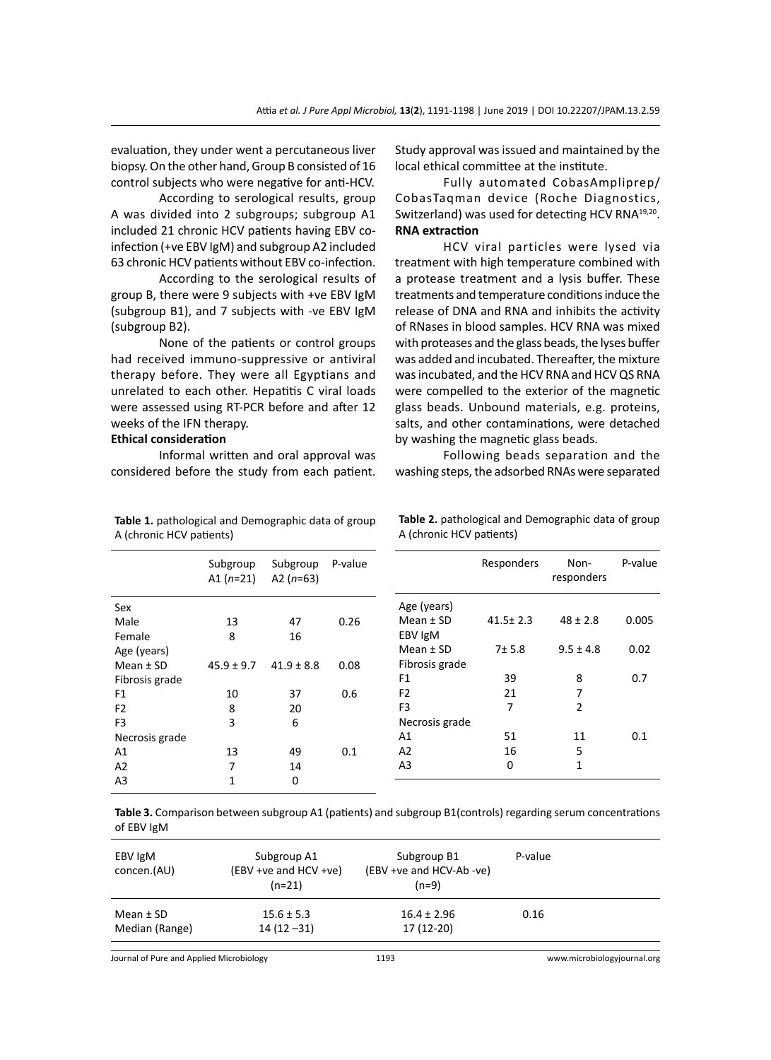evaluation, they under went a percutaneous liver biopsy. On the other hand, Group B consisted of 16 control subjects who were negative for anti-HCV.

According to serological results, group A was divided into 2 subgroups; subgroup A1 included 21 chronic HCV patients having EBV coinfection (+ve EBV IgM) and subgroup A2 included 63 chronic HCV patients without EBV co-infection.

According to the serological results of group B, there were 9 subjects with +ve EBV IgM (subgroup B1), and 7 subjects with -ve EBV IgM (subgroup B2).

None of the patients or control groups had received immuno-suppressive or antiviral therapy before. They were all Egyptians and unrelated to each other. Hepatitis C viral loads were assessed using RT-PCR before and after 12 weeks of the IFN therapy.

## **Ethical consideration**

A (chronic HCV patients)

Informal written and oral approval was considered before the study from each patient.

**Table 1.** pathological and Demographic data of group

Study approval was issued and maintained by the local ethical committee at the institute.

Fully automated CobasAmpliprep/ CobasTaqman device (Roche Diagnostics, Switzerland) was used for detecting HCV RNA<sup>19,20</sup>. **RNA extraction**

HCV viral particles were lysed via treatment with high temperature combined with a protease treatment and a lysis buffer. These treatments and temperature conditions induce the release of DNA and RNA and inhibits the activity of RNases in blood samples. HCV RNA was mixed with proteases and the glass beads, the lyses buffer was added and incubated. Thereafter, the mixture was incubated, and the HCV RNA and HCV QS RNA were compelled to the exterior of the magnetic glass beads. Unbound materials, e.g. proteins, salts, and other contaminations, were detached by washing the magnetic glass beads.

Following beads separation and the washing steps, the adsorbed RNAs were separated

|                | Subgroup<br>A1 $(n=21)$ | Subgroup<br>A2 $(n=63)$ | P-value |                | Responders     | Non-<br>responders | P-value |
|----------------|-------------------------|-------------------------|---------|----------------|----------------|--------------------|---------|
| Sex            |                         |                         |         | Age (years)    |                |                    |         |
| Male           | 13                      | 47                      | 0.26    | Mean $±$ SD    | $41.5 \pm 2.3$ | $48 \pm 2.8$       | 0.005   |
| Female         | 8                       | 16                      |         | EBV IgM        |                |                    |         |
| Age (years)    |                         |                         |         | Mean $±$ SD    | 7±5.8          | $9.5 \pm 4.8$      | 0.02    |
| Mean $±$ SD    | $45.9 \pm 9.7$          | $41.9 \pm 8.8$          | 0.08    | Fibrosis grade |                |                    |         |
| Fibrosis grade |                         |                         |         | F <sub>1</sub> | 39             | 8                  | 0.7     |
| F <sub>1</sub> | 10                      | 37                      | 0.6     | F <sub>2</sub> | 21             | 7                  |         |
| F <sub>2</sub> | 8                       | 20                      |         | F3             | 7              | $\overline{2}$     |         |
| F <sub>3</sub> | 3                       | 6                       |         | Necrosis grade |                |                    |         |
| Necrosis grade |                         |                         |         | A1             | 51             | 11                 | 0.1     |
| A1             | 13                      | 49                      | 0.1     | A <sub>2</sub> | 16             | 5                  |         |
| A2             | 7                       | 14                      |         | A3             | 0              | $\mathbf{1}$       |         |
| A <sub>3</sub> | 1                       | 0                       |         |                |                |                    |         |
|                |                         |                         |         |                |                |                    |         |

**Table 2.** pathological and Demographic data of group A (chronic HCV patients)

**Table 3.** Comparison between subgroup A1 (patients) and subgroup B1(controls) regarding serum concentrations of EBV IgM

Journal of Pure and Applied Microbiology 1193 www.microbiologyjournal.org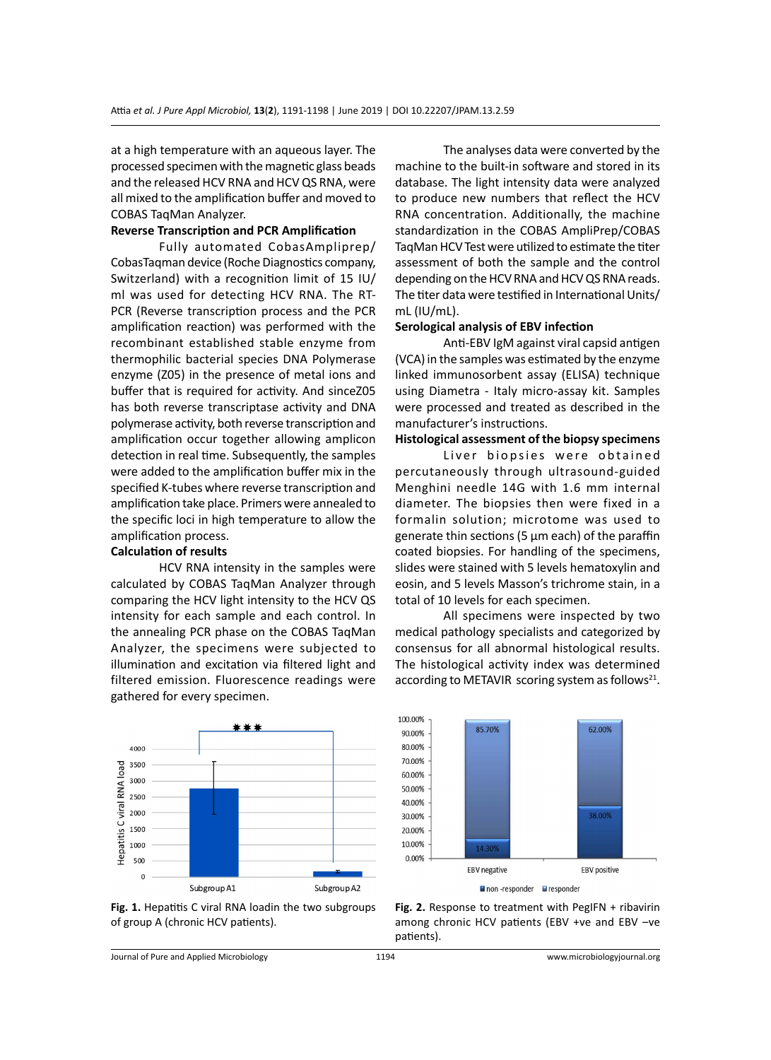at a high temperature with an aqueous layer. The processed specimen with the magnetic glass beads and the released HCV RNA and HCV QS RNA, were all mixed to the amplification buffer and moved to COBAS TaqMan Analyzer.

# **Reverse Transcription and PCR Amplification**

Fully automated CobasAmpliprep/ CobasTaqman device (Roche Diagnostics company, Switzerland) with a recognition limit of 15 IU/ ml was used for detecting HCV RNA. The RT-PCR (Reverse transcription process and the PCR amplification reaction) was performed with the recombinant established stable enzyme from thermophilic bacterial species DNA Polymerase enzyme (Z05) in the presence of metal ions and buffer that is required for activity. And sinceZ05 has both reverse transcriptase activity and DNA polymerase activity, both reverse transcription and amplification occur together allowing amplicon detection in real time. Subsequently, the samples were added to the amplification buffer mix in the specified K-tubes where reverse transcription and amplification take place. Primers were annealed to the specific loci in high temperature to allow the amplification process.

# **Calculation of results**

HCV RNA intensity in the samples were calculated by COBAS TaqMan Analyzer through comparing the HCV light intensity to the HCV QS intensity for each sample and each control. In the annealing PCR phase on the COBAS TaqMan Analyzer, the specimens were subjected to illumination and excitation via filtered light and filtered emission. Fluorescence readings were gathered for every specimen.



**Fig. 1.** Hepatitis C viral RNA loadin the two subgroups of group A (chronic HCV patients).

The analyses data were converted by the machine to the built-in software and stored in its database. The light intensity data were analyzed to produce new numbers that reflect the HCV RNA concentration. Additionally, the machine standardization in the COBAS AmpliPrep/COBAS TaqMan HCV Test were utilized to estimate the titer assessment of both the sample and the control depending on the HCV RNA and HCV QS RNA reads. The titer data were testified in International Units/ mL (IU/mL).

#### **Serological analysis of EBV infection**

Anti-EBV IgM against viral capsid antigen (VCA) in the samples was estimated by the enzyme linked immunosorbent assay (ELISA) technique using Diametra - Italy micro-assay kit. Samples were processed and treated as described in the manufacturer's instructions.

# **Histological assessment of the biopsy specimens**

Liver biopsies were obtained percutaneously through ultrasound-guided Menghini needle 14G with 1.6 mm internal diameter. The biopsies then were fixed in a formalin solution; microtome was used to generate thin sections (5  $\mu$ m each) of the paraffin coated biopsies. For handling of the specimens, slides were stained with 5 levels hematoxylin and eosin, and 5 levels Masson's trichrome stain, in a total of 10 levels for each specimen.

All specimens were inspected by two medical pathology specialists and categorized by consensus for all abnormal histological results. The histological activity index was determined according to METAVIR scoring system as follows<sup>21</sup>.



Fig. 2. Response to treatment with PegIFN + ribavirin among chronic HCV patients (EBV +ve and EBV –ve patients).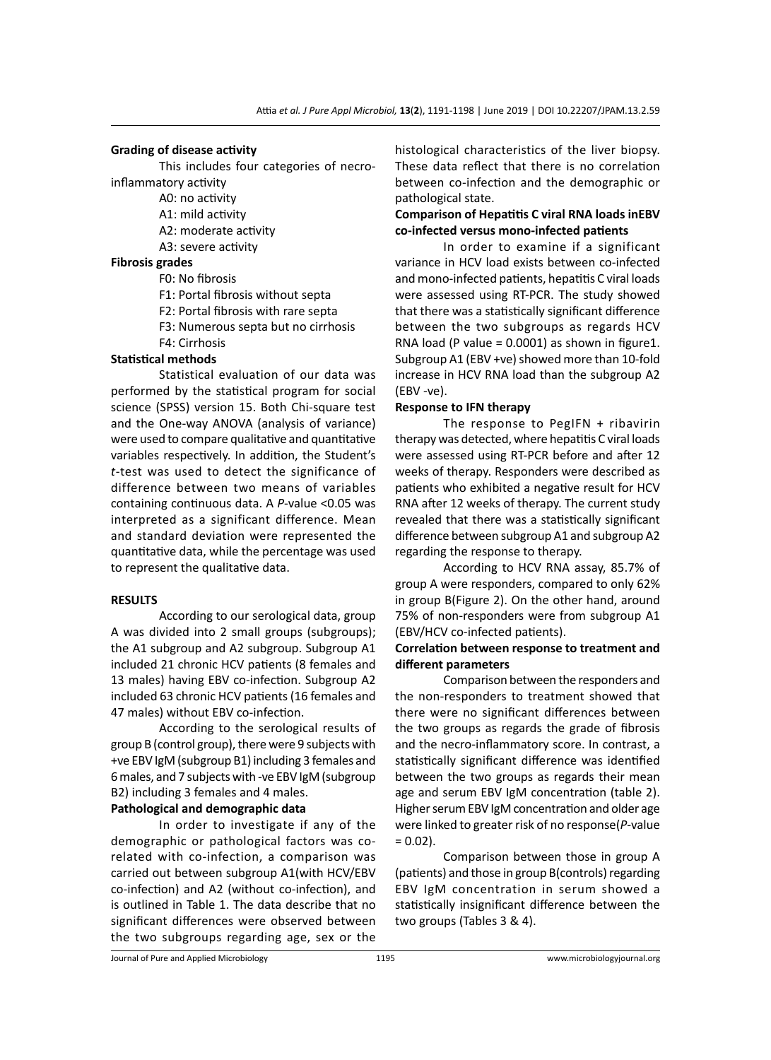#### **Grading of disease activity**

This includes four categories of necroinflammatory activity

A0: no activity

- A1: mild activity
- A2: moderate activity
- A3: severe activity

### **Fibrosis grades**

- F0: No fibrosis
	- F1: Portal fibrosis without septa
	- F2: Portal fibrosis with rare septa
	- F3: Numerous septa but no cirrhosis
	- F4: Cirrhosis

#### **Statistical methods**

Statistical evaluation of our data was performed by the statistical program for social science (SPSS) version 15. Both Chi-square test and the One-way ANOVA (analysis of variance) were used to compare qualitative and quantitative variables respectively. In addition, the Student's *t*-test was used to detect the significance of difference between two means of variables containing continuous data. A *P*-value <0.05 was interpreted as a significant difference. Mean and standard deviation were represented the quantitative data, while the percentage was used to represent the qualitative data.

### **RESULTS**

According to our serological data, group A was divided into 2 small groups (subgroups); the A1 subgroup and A2 subgroup. Subgroup A1 included 21 chronic HCV patients (8 females and 13 males) having EBV co-infection. Subgroup A2 included 63 chronic HCV patients (16 females and 47 males) without EBV co-infection.

According to the serological results of group B (control group), there were 9 subjects with +ve EBV IgM (subgroup B1) including 3 females and 6 males, and 7 subjects with -ve EBV IgM (subgroup B2) including 3 females and 4 males.

# **Pathological and demographic data**

In order to investigate if any of the demographic or pathological factors was corelated with co-infection, a comparison was carried out between subgroup A1(with HCV/EBV co-infection) and A2 (without co-infection), and is outlined in Table 1. The data describe that no significant differences were observed between the two subgroups regarding age, sex or the histological characteristics of the liver biopsy. These data reflect that there is no correlation between co-infection and the demographic or pathological state.

# **Comparison of Hepatitis C viral RNA loads inEBV co-infected versus mono-infected patients**

In order to examine if a significant variance in HCV load exists between co-infected and mono-infected patients, hepatitis C viral loads were assessed using RT-PCR. The study showed that there was a statistically significant difference between the two subgroups as regards HCV RNA load (P value = 0.0001) as shown in figure1. Subgroup A1 (EBV +ve) showed more than 10-fold increase in HCV RNA load than the subgroup A2 (EBV -ve).

### **Response to IFN therapy**

The response to PegIFN + ribavirin therapy was detected, where hepatitis C viral loads were assessed using RT-PCR before and after 12 weeks of therapy. Responders were described as patients who exhibited a negative result for HCV RNA after 12 weeks of therapy. The current study revealed that there was a statistically significant difference between subgroup A1 and subgroup A2 regarding the response to therapy.

According to HCV RNA assay, 85.7% of group A were responders, compared to only 62% in group B(Figure 2). On the other hand, around 75% of non-responders were from subgroup A1 (EBV/HCV co-infected patients).

# **Correlation between response to treatment and different parameters**

Comparison between the responders and the non-responders to treatment showed that there were no significant differences between the two groups as regards the grade of fibrosis and the necro-inflammatory score. In contrast, a statistically significant difference was identified between the two groups as regards their mean age and serum EBV IgM concentration (table 2). Higher serum EBV IgM concentration and older age were linked to greater risk of no response(*P*-value  $= 0.02$ ).

Comparison between those in group A (patients) and those in group B(controls) regarding EBV IgM concentration in serum showed a statistically insignificant difference between the two groups (Tables 3 & 4).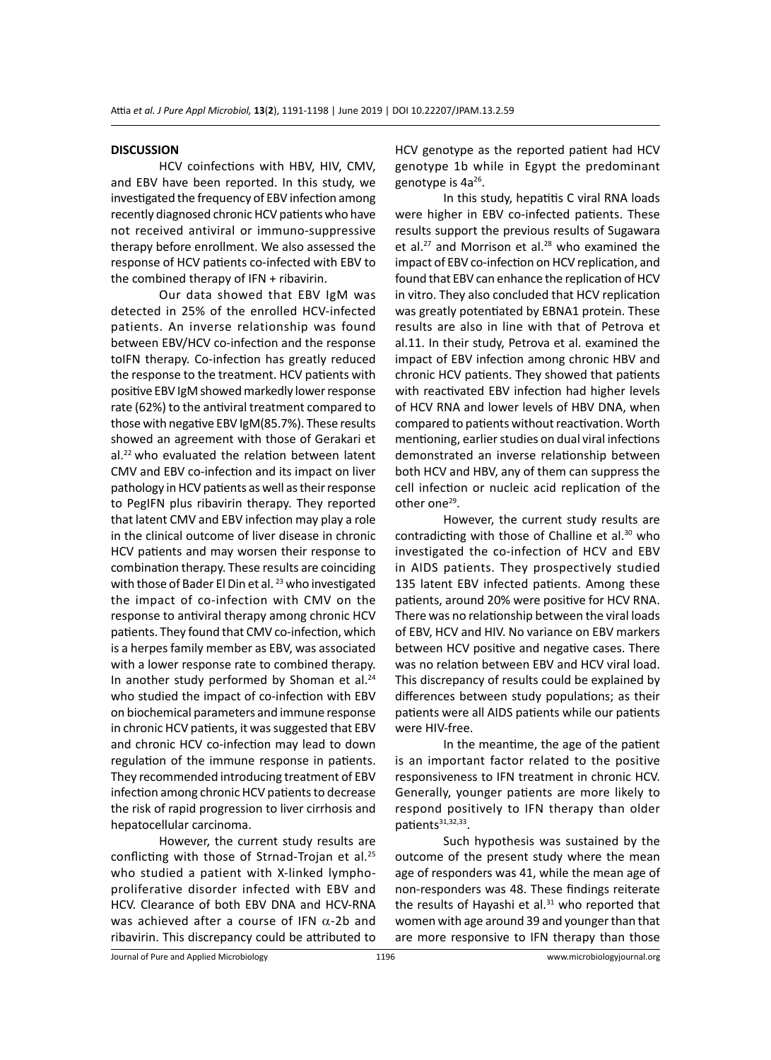#### **DISCUSSION**

HCV coinfections with HBV, HIV, CMV, and EBV have been reported. In this study, we investigated the frequency of EBV infection among recently diagnosed chronic HCV patients who have not received antiviral or immuno-suppressive therapy before enrollment. We also assessed the response of HCV patients co-infected with EBV to the combined therapy of IFN + ribavirin.

Our data showed that EBV IgM was detected in 25% of the enrolled HCV-infected patients. An inverse relationship was found between EBV/HCV co-infection and the response toIFN therapy. Co-infection has greatly reduced the response to the treatment. HCV patients with positive EBV IgM showed markedly lower response rate (62%) to the antiviral treatment compared to those with negative EBV IgM(85.7%). These results showed an agreement with those of Gerakari et al.<sup>22</sup> who evaluated the relation between latent CMV and EBV co-infection and its impact on liver pathology in HCV patients as well as their response to PegIFN plus ribavirin therapy. They reported that latent CMV and EBV infection may play a role in the clinical outcome of liver disease in chronic HCV patients and may worsen their response to combination therapy. These results are coinciding with those of Bader El Din et al. <sup>23</sup> who investigated the impact of co-infection with CMV on the response to antiviral therapy among chronic HCV patients. They found that CMV co-infection, which is a herpes family member as EBV, was associated with a lower response rate to combined therapy. In another study performed by Shoman et al. $24$ who studied the impact of co-infection with EBV on biochemical parameters and immune response in chronic HCV patients, it was suggested that EBV and chronic HCV co-infection may lead to down regulation of the immune response in patients. They recommended introducing treatment of EBV infection among chronic HCV patients to decrease the risk of rapid progression to liver cirrhosis and hepatocellular carcinoma.

However, the current study results are conflicting with those of Strnad-Trojan et al.<sup>25</sup> who studied a patient with X-linked lymphoproliferative disorder infected with EBV and HCV. Clearance of both EBV DNA and HCV-RNA was achieved after a course of IFN  $\alpha$ -2b and ribavirin. This discrepancy could be attributed to HCV genotype as the reported patient had HCV genotype 1b while in Egypt the predominant genotype is 4a<sup>26</sup>.

In this study, hepatitis C viral RNA loads were higher in EBV co-infected patients. These results support the previous results of Sugawara et al.<sup>27</sup> and Morrison et al.<sup>28</sup> who examined the impact of EBV co-infection on HCV replication, and found that EBV can enhance the replication of HCV in vitro. They also concluded that HCV replication was greatly potentiated by EBNA1 protein. These results are also in line with that of Petrova et al.11. In their study, Petrova et al. examined the impact of EBV infection among chronic HBV and chronic HCV patients. They showed that patients with reactivated EBV infection had higher levels of HCV RNA and lower levels of HBV DNA, when compared to patients without reactivation. Worth mentioning, earlier studies on dual viral infections demonstrated an inverse relationship between both HCV and HBV, any of them can suppress the cell infection or nucleic acid replication of the other one<sup>29</sup>.

However, the current study results are contradicting with those of Challine et al.<sup>30</sup> who investigated the co-infection of HCV and EBV in AIDS patients. They prospectively studied 135 latent EBV infected patients. Among these patients, around 20% were positive for HCV RNA. There was no relationship between the viral loads of EBV, HCV and HIV. No variance on EBV markers between HCV positive and negative cases. There was no relation between EBV and HCV viral load. This discrepancy of results could be explained by differences between study populations; as their patients were all AIDS patients while our patients were HIV-free.

In the meantime, the age of the patient is an important factor related to the positive responsiveness to IFN treatment in chronic HCV. Generally, younger patients are more likely to respond positively to IFN therapy than older patients<sup>31,32,33</sup>.

Such hypothesis was sustained by the outcome of the present study where the mean age of responders was 41, while the mean age of non-responders was 48. These findings reiterate the results of Hayashi et al. $31$  who reported that women with age around 39 and younger than that are more responsive to IFN therapy than those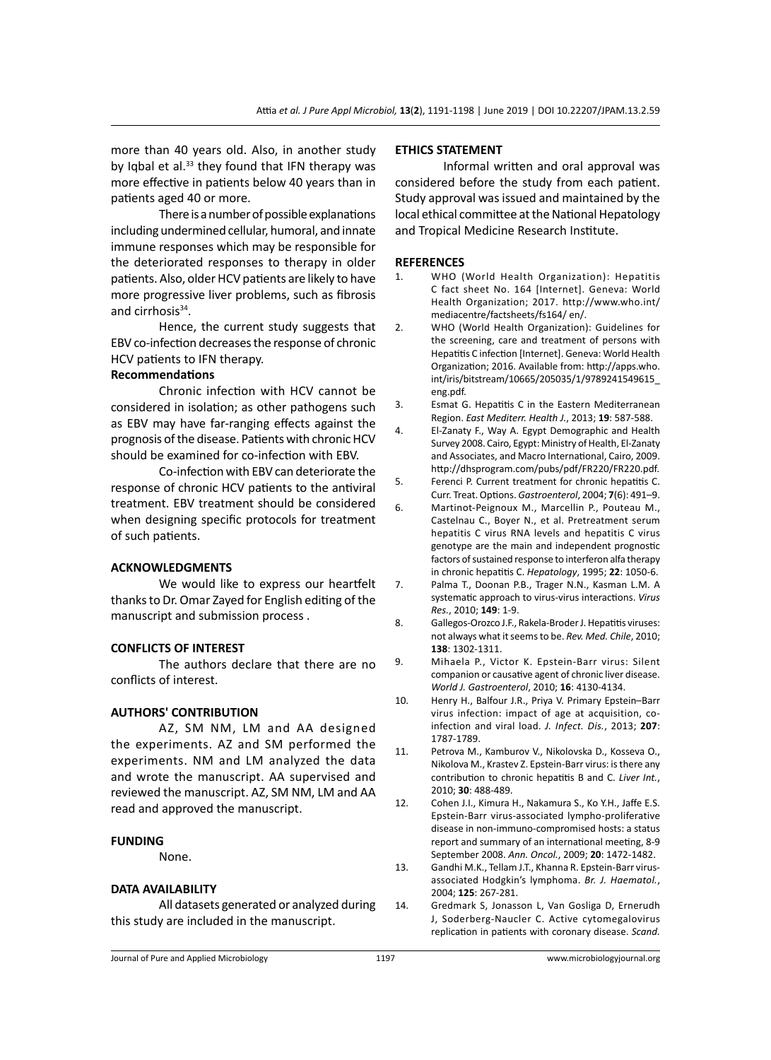more than 40 years old. Also, in another study by Iqbal et al. $33$  they found that IFN therapy was more effective in patients below 40 years than in patients aged 40 or more.

There is a number of possible explanations including undermined cellular, humoral, and innate immune responses which may be responsible for the deteriorated responses to therapy in older patients. Also, older HCV patients are likely to have more progressive liver problems, such as fibrosis and cirrhosis<sup>34</sup>.

Hence, the current study suggests that EBV co-infection decreases the response of chronic HCV patients to IFN therapy.

# **Recommendations**

Chronic infection with HCV cannot be considered in isolation; as other pathogens such as EBV may have far-ranging effects against the prognosis of the disease. Patients with chronic HCV should be examined for co-infection with EBV.

Co-infection with EBV can deteriorate the response of chronic HCV patients to the antiviral treatment. EBV treatment should be considered when designing specific protocols for treatment of such patients.

### **ACKNOWLEDGMENTS**

We would like to express our heartfelt thanks to Dr. Omar Zayed for English editing of the manuscript and submission process .

# **CONFLICTS OF INTEREST**

The authors declare that there are no conflicts of interest.

#### **AUTHORS' CONTRIBUTION**

AZ, SM NM, LM and AA designed the experiments. AZ and SM performed the experiments. NM and LM analyzed the data and wrote the manuscript. AA supervised and reviewed the manuscript. AZ, SM NM, LM and AA read and approved the manuscript.

### **FUNDING**

None.

#### **DATA AVAILABILITY**

All datasets generated or analyzed during this study are included in the manuscript.

# **ETHICS STATEMENT**

Informal written and oral approval was considered before the study from each patient. Study approval was issued and maintained by the local ethical committee at the National Hepatology and Tropical Medicine Research Institute.

#### **REFERENCES**

- 1. WHO (World Health Organization): Hepatitis C fact sheet No. 164 [Internet]. Geneva: World Health Organization; 2017. http://www.who.int/ mediacentre/factsheets/fs164/ en/.
- 2. WHO (World Health Organization): Guidelines for the screening, care and treatment of persons with Hepatitis C infection [Internet]. Geneva: World Health Organization; 2016. Available from: http://apps.who. int/iris/bitstream/10665/205035/1/9789241549615\_ eng.pdf.
- 3. Esmat G. Hepatitis C in the Eastern Mediterranean Region. *East Mediterr. Health J.*, 2013; **19**: 587-588.
- 4. El-Zanaty F., Way A. Egypt Demographic and Health Survey 2008. Cairo, Egypt: Ministry of Health, El-Zanaty and Associates, and Macro International, Cairo, 2009. http://dhsprogram.com/pubs/pdf/FR220/FR220.pdf.
- 5. Ferenci P. Current treatment for chronic hepatitis C. Curr. Treat. Options. *Gastroenterol*, 2004; **7**(6): 491–9.
- 6. Martinot-Peignoux M., Marcellin P., Pouteau M., Castelnau C., Boyer N., et al. Pretreatment serum hepatitis C virus RNA levels and hepatitis C virus genotype are the main and independent prognostic factors of sustained response to interferon alfa therapy in chronic hepatitis C. *Hepatology*, 1995; **22**: 1050-6.
- 7. Palma T., Doonan P.B., Trager N.N., Kasman L.M. A systematic approach to virus-virus interactions. *Virus Res.*, 2010; **149**: 1-9.
- 8. Gallegos-Orozco J.F., Rakela-Broder J. Hepatitis viruses: not always what it seems to be. *Rev. Med. Chile*, 2010; **138**: 1302-1311.
- 9. Mihaela P., Victor K. Epstein-Barr virus: Silent companion or causative agent of chronic liver disease. *World J. Gastroenterol*, 2010; **16**: 4130-4134.
- 10. Henry H., Balfour J.R., Priya V. Primary Epstein–Barr virus infection: impact of age at acquisition, coinfection and viral load. *J. Infect. Dis.*, 2013; **207**: 1787-1789.
- 11. Petrova M., Kamburov V., Nikolovska D., Kosseva O., Nikolova M., Krastev Z. Epstein-Barr virus: is there any contribution to chronic hepatitis B and C. *Liver Int.*, 2010; **30**: 488-489.

12. Cohen J.I., Kimura H., Nakamura S., Ko Y.H., Jaffe E.S. Epstein-Barr virus-associated lympho-proliferative disease in non-immuno-compromised hosts: a status report and summary of an international meeting, 8-9 September 2008. *Ann. Oncol.*, 2009; **20**: 1472-1482.

- 13. Gandhi M.K., Tellam J.T., Khanna R. Epstein-Barr virusassociated Hodgkin's lymphoma. *Br. J. Haematol.*, 2004; **125**: 267-281.
- 14. Gredmark S, Jonasson L, Van Gosliga D, Ernerudh J, Soderberg-Naucler C. Active cytomegalovirus replication in patients with coronary disease. *Scand.*